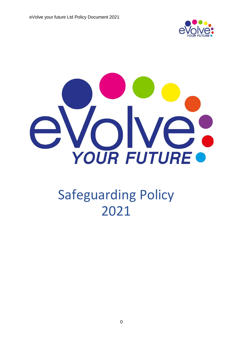



# Safeguarding Policy 2021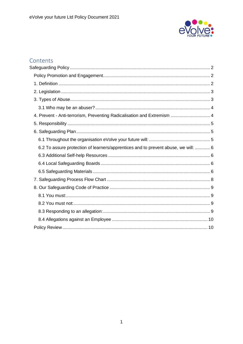

## Contents

| 4. Prevent - Anti-terrorism, Preventing Radicalisation and Extremism  4            |  |
|------------------------------------------------------------------------------------|--|
|                                                                                    |  |
|                                                                                    |  |
|                                                                                    |  |
| 6.2 To assure protection of learners/apprentices and to prevent abuse, we will:  6 |  |
|                                                                                    |  |
|                                                                                    |  |
|                                                                                    |  |
|                                                                                    |  |
|                                                                                    |  |
|                                                                                    |  |
|                                                                                    |  |
|                                                                                    |  |
|                                                                                    |  |
|                                                                                    |  |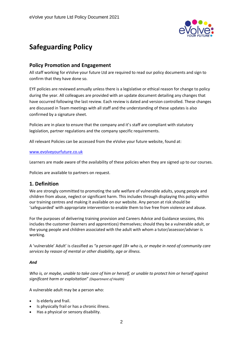

## <span id="page-2-0"></span>**Safeguarding Policy**

## <span id="page-2-1"></span>**Policy Promotion and Engagement**

All staff working for eVolve your future Ltd are required to read our policy documents and sign to confirm that they have done so.

EYF policies are reviewed annually unless there is a legislative or ethical reason for change to policy during the year. All colleagues are provided with an update document detailing any changes that have occurred following the last review. Each review is dated and version controlled. These changes are discussed in Team meetings with all staff and the understanding of these updates is also confirmed by a signature sheet.

Policies are in place to ensure that the company and it's staff are compliant with statutory legislation, partner regulations and the company specific requirements.

All relevant Policies can be accessed from the eVolve your future website, found at:

#### [www.evolveyourfuture.co.uk](http://www.evolveyourfuture.co.uk/)

Learners are made aware of the availability of these policies when they are signed up to our courses.

Policies are available to partners on request.

## <span id="page-2-2"></span>**1. Definition**

We are strongly committed to promoting the safe welfare of vulnerable adults, young people and children from abuse, neglect or significant harm. This includes through displaying this policy within our training centres and making it available on our website. Any person at risk should be 'safeguarded' with appropriate intervention to enable them to live free from violence and abuse.

For the purposes of delivering training provision and Careers Advice and Guidance sessions, this includes the customer (learners and apprentices) themselves; should they be a vulnerable adult, or the young people and children associated with the adult with whom a tutor/assessor/adviser is working.

A 'vulnerable' Adult' is classified as *"a person aged 18+ who is, or maybe in need of community care services by reason of mental or other disability, age or illness.*

#### *And*

*Who is, or maybe, unable to take care of him or herself, or unable to protect him or herself against significant harm or exploitation*" *(Department of Health)*

A vulnerable adult may be a person who:

- Is elderly and frail.
- Is physically frail or has a chronic illness.
- Has a physical or sensory disability.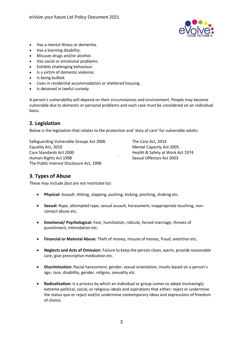

- Has a mental illness or dementia.
- Has a learning disability.
- Misuses drugs and/or alcohol.
- Has social or emotional problems.
- Exhibits challenging behaviour.
- Is a victim of domestic violence.
- Is being bullied.
- Lives in residential accommodation or sheltered housing.
- Is detained in lawful custody.

A person's vulnerability will depend on their circumstances and environment. People may become vulnerable due to domestic or personal problems and each case must be considered on an individual basis.

## <span id="page-3-0"></span>**2. Legislation**

Below is the legislation that relates to the protection and 'duty of care' for vulnerable adults:

Safeguarding Vulnerable Groups Act 2006 The Care Act, 2014 Equality Act, 2010 **Mental Capacity Act 2005** Care Standards Act 2000 Health & Safety at Work Act 1974 Human Rights Act 1998 **Sexual Offences Act 2003** The Public Interest Disclosure Act, 1998

## <span id="page-3-1"></span>**3. Types of Abuse**

These may include *(but are not restricted to)*:

- **Physical:** Assault. Hitting, slapping, pushing, kicking, pinching, shaking etc.
- **Sexual:** Rape, attempted rape, sexual assault, harassment, inappropriate touching, noncontact abuse etc.
- **Emotional/ Psychological:** Fear, humiliation, ridicule, forced marriage, threats of punishment, intimidation etc.
- **Financial or Material Abuse:** Theft of money, misuse of money, fraud, extortion etc.
- **Neglects and Acts of Omission:** Failure to keep the person clean, warm, provide reasonable care, give prescriptive medication etc.
- **Discrimination:** Racial harassment, gender, sexual orientation, insults based on a person's age, race, disability, gender, religion, sexuality etc.
- **Radicalisation:** Is a process by which an individual or group comes to adopt increasingly extreme political, social, or religious ideals and aspirations that either; reject or undermine the status quo or reject and/or undermine contemporary ideas and expressions of freedom of choice.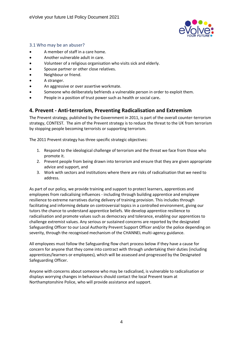

#### <span id="page-4-0"></span>3.1 Who may be an abuser?

- A member of staff in a care home.
- Another vulnerable adult in care.
- Volunteer of a religious organisation who visits sick and elderly.
- Spouse partner or other close relatives.
- Neighbour or friend.
- A stranger.
- An aggressive or over assertive workmate.
- Someone who deliberately befriends a vulnerable person in order to exploit them.
- People in a position of trust power such as health or social care**.**

## <span id="page-4-1"></span>**4. Prevent - Anti-terrorism, Preventing Radicalisation and Extremism**

The Prevent strategy, published by the Government in 2011, is part of the overall counter-terrorism strategy, CONTEST. The aim of the Prevent strategy is to reduce the threat to the UK from terrorism by stopping people becoming terrorists or supporting terrorism.

The 2011 Prevent strategy has three specific strategic objectives:

- 1. Respond to the ideological challenge of terrorism and the threat we face from those who promote it.
- 2. Prevent people from being drawn into terrorism and ensure that they are given appropriate advice and support, and
- 3. Work with sectors and institutions where there are risks of radicalisation that we need to address.

As part of our policy, we provide training and support to protect learners, apprentices and employees from radicalising influences - including through building apprentice and employee resilience to extreme narratives during delivery of training provision. This includes through facilitating and informing debate on controversial topics in a controlled environment, giving our tutors the chance to understand apprentice beliefs. We develop apprentice resilience to radicalisation and promote values such as democracy and tolerance, enabling our apprentices to challenge extremist values. Any serious or sustained concerns are reported by the designated Safeguarding Officer to our Local Authority Prevent Support Officer and/or the police depending on severity, through the recognised mechanism of the CHANNEL multi-agency guidance.

All employees must follow the Safeguarding flow chart process below if they have a cause for concern for anyone that they come into contract with through undertaking their duties (including apprentices/learners or employees), which will be assessed and progressed by the Designated Safeguarding Officer.

Anyone with concerns about someone who may be radicalised, is vulnerable to radicalisation or displays worrying changes in behaviours should contact the local Prevent team at Northamptonshire Police, who will provide assistance and support.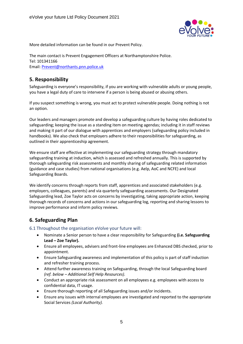

More detailed information can be found in our Prevent Policy.

The main contact is Prevent Engagement Officers at Northamptonshire Police. Tel: 101341166 Email: [Prevent@northants.pnn.police.uk](mailto:Prevent@northants.pnn.police.uk)

## <span id="page-5-0"></span>**5. Responsibility**

Safeguarding is everyone's responsibility, if you are working with vulnerable adults or young people, you have a legal duty of care to intervene if a person is being abused or abusing others.

If you suspect something is wrong, you must act to protect vulnerable people. Doing nothing is not an option.

Our leaders and managers promote and develop a safeguarding culture by having roles dedicated to safeguarding; keeping the issue as a standing item on meeting agendas; including it in staff reviews and making it part of our dialogue with apprentices and employers (safeguarding policy included in handbooks). We also check that employers adhere to their responsibilities for safeguarding, as outlined in their apprenticeship agreement.

We ensure staff are effective at implementing our safeguarding strategy through mandatory safeguarding training at induction, which is assessed and refreshed annually. This is supported by thorough safeguarding risk assessments and monthly sharing of safeguarding related information (guidance and case studies) from national organisations (e.g. Aelp, AoC and NCFE) and local Safeguarding Boards.

We identify concerns through reports from staff, apprentices and associated stakeholders (e.g. employers, colleagues, parents) and via quarterly safeguarding assessments. Our Designated Safeguarding lead, Zoe Taylor acts on concerns by investigating, taking appropriate action, keeping thorough records of concerns and actions in our safeguarding log, reporting and sharing lessons to improve performance and inform policy reviews.

## <span id="page-5-1"></span>**6. Safeguarding Plan**

<span id="page-5-2"></span>6.1 Throughout the organisation eVolve your future will:

- Nominate a Senior person to have a clear responsibility for Safeguarding **(i.e. Safeguarding Lead – Zoe Taylor).**
- Ensure all employees, advisers and front-line employees are Enhanced DBS checked, prior to appointment.
- Ensure Safeguarding awareness and implementation of this policy is part of staff induction and refresher training process.
- Attend further awareness training on Safeguarding, through the local Safeguarding board *(ref. below – Additional Self Help Resources).*
- Conduct an appropriate risk assessment on all employees e.g. employees with access to confidential data, IT usage.
- Ensure thorough reporting of all Safeguarding issues and/or incidents.
- Ensure any issues with internal employees are investigated and reported to the appropriate Social Services *(Local Authority).*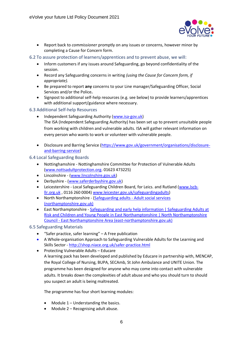

- Report back to *commissioner* promptly on any issues or concerns, however minor by completing a Cause for Concern form.
- <span id="page-6-0"></span>6.2 To assure protection of learners/apprentices and to prevent abuse, we will:
	- Inform customers if any issues around Safeguarding, go beyond confidentiality of the session.
	- Record any Safeguarding concerns in writing *(using the Cause for Concern form, if appropriate).*
	- Be prepared to report **any** concerns to your Line manager/Safeguarding Officer, Social Services and/or the Police**.**
	- Signpost to additional self-help resources (e.g. see below) to provide learners/apprentices with additional support/guidance where necessary.
- <span id="page-6-1"></span>6.3 Additional Self-help Resources
	- Independent Safeguarding Authority [\(www.isa-gov.uk\)](http://www.isa-gov.uk/) The ISA (Independent Safeguarding Authority) has been set up to prevent unsuitable people from working with children and vulnerable adults. ISA will gather relevant information on every person who wants to work or volunteer with vulnerable people.
	- Disclosure and Barring Service [\(https://www.gov.uk/government/organisations/disclosure](https://www.gov.uk/government/organisations/disclosure-and-barring-service)[and-barring-service\)](https://www.gov.uk/government/organisations/disclosure-and-barring-service)

#### <span id="page-6-2"></span>6.4 Local Safeguarding Boards

- Nottinghamshire Nottinghamshire Committee for Protection of Vulnerable Adults [\(www.nottsadultprotection.org.](http://www.nottsadultprotection.org/) 01623 473225)
- Lincolnshire [\(www.lincolnshire.gov.uk\)](http://www.lincolnshire.gov.uk/)
- Derbyshire [\(www.saferderbyshire.gov.uk\)](http://www.saferderbyshire.gov.uk/)
- Leicestershire Local Safeguarding Children Board, for Leics. and Rutland [\(www.lscb](http://www.lscb-llr.org.uk/)[llr.org.uk](http://www.lscb-llr.org.uk/) , 0116 260 0004) [www.leicester.gov.uk/safeguardingadults\)](http://www.leicester.gov.uk/safeguardingadults)
- North Northamptonshire [\(Safeguarding adults -](https://www.northamptonshire.gov.uk/councilservices/adult-social-care/safeguarding/Pages/default.aspx) Adult social services [\(northamptonshire.gov.uk\)](https://www.northamptonshire.gov.uk/councilservices/adult-social-care/safeguarding/Pages/default.aspx)
- East Northamptonshire [Safeguarding and early help information | Safeguarding Adults at](https://www.east-northamptonshire.gov.uk/info/200224/children_and_family_care/1699/safeguarding_adults_at_risk_and_children_and_young_people_in_east_northamptonshire)  [Risk and Children and Young People in East Northamptonshire | North Northamptonshire](https://www.east-northamptonshire.gov.uk/info/200224/children_and_family_care/1699/safeguarding_adults_at_risk_and_children_and_young_people_in_east_northamptonshire)  Council - [East Northamptonshire Area \(east-northamptonshire.gov.uk\)](https://www.east-northamptonshire.gov.uk/info/200224/children_and_family_care/1699/safeguarding_adults_at_risk_and_children_and_young_people_in_east_northamptonshire)

#### <span id="page-6-3"></span>6.5 Safeguarding Materials

- "Safer practice, safer learning" A Free publication
- A Whole-organisation Approach to Safeguarding Vulnerable Adults for the Learning and Skills Sector - <http://shop.niace.org.uk/safer-practice.html>
- Protecting Vulnerable Adults Educare A learning pack has been developed and published by Educare in partnership with, MENCAP, the Royal College of Nursing, BUPA, SECAmb, St John Ambulance and UNITE Union. The programme has been designed for anyone who may come into contact with vulnerable adults. It breaks down the complexities of adult abuse and who you should turn to should you suspect an adult is being maltreated.

The programme has four short learning modules:

- Module  $1$  Understanding the basics.
- Module 2 Recognising adult abuse.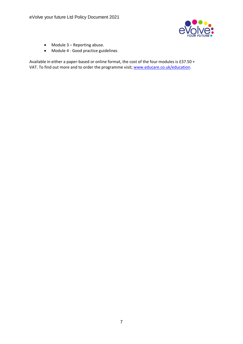

- Module 3 Reporting abuse.
- Module 4 Good practice guidelines

Available in either a paper-based or online format, the cost of the four modules is £37.50 + VAT. To find out more and to order the programme visit; [www.educare.co.uk/education.](http://www.educare.co.uk/education)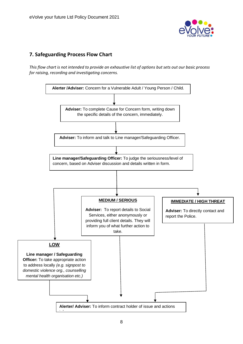

## <span id="page-8-0"></span>**7. Safeguarding Process Flow Chart**

*This flow chart is not intended to provide an exhaustive list of options but sets out our basic process for raising, recording and investigating concerns.* 

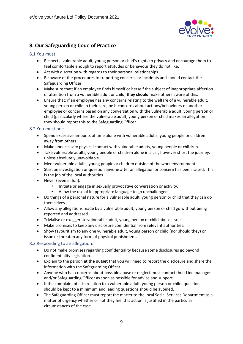

## <span id="page-9-0"></span>**8. Our Safeguarding Code of Practice**

#### <span id="page-9-1"></span>8.1 You must:

- Respect a vulnerable adult, young person or child's rights to privacy and encourage them to feel comfortable enough to report attitudes or behaviour they do not like.
- Act with discretion with regards to their personal relationships.
- Be aware of the procedures for reporting concerns or incidents and should contact the Safeguarding Officer.
- Make sure that; if an employee finds himself or herself the subject of inappropriate affection or attention from a vulnerable adult or child, **they should** make others aware of this.
- Ensure that; if an employee has any concerns relating to the welfare of a vulnerable adult, young person or child in their care, be it concerns about actions/behaviours of another employee or concerns based on any conversation with the vulnerable adult, young person or child (particularly where the vulnerable adult, young person or child makes an allegation) they should report this to the Safeguarding Officer.

#### <span id="page-9-2"></span>8.2 You must not:

- Spend excessive amounts of time alone with vulnerable adults, young people or children away from others.
- Make unnecessary physical contact with vulnerable adults, young people or children.
- Take vulnerable adults, young people or children alone in a car, however short the journey, unless absolutely unavoidable.
- Meet vulnerable adults, young people or children outside of the work environment.
- Start an investigation or question anyone after an allegation or concern has been raised. This is the job of the local authorities.
- Never (even in fun):
	- Initiate or engage in sexually provocative conversation or activity.
	- Allow the use of inappropriate language to go unchallenged.
- Do things of a personal nature for a vulnerable adult, young person or child that they can do themselves.
- Allow any allegations made by a vulnerable adult, young person or child go without being reported and addressed.
- Trivialise or exaggerate vulnerable adult, young person or child abuse issues.
- Make promises to keep any disclosure confidential from relevant authorities.
- Show favouritism to any one vulnerable adult, young person or child (nor should they) or issue or threaten any form of physical punishment.

#### <span id="page-9-3"></span>8.3 Responding to an allegation:

- Do not make promises regarding confidentiality because some disclosures go beyond confidentiality legislation.
- Explain to the person **at the outset** that you will need to report the disclosure and share the information with the Safeguarding Officer.
- Anyone who has concerns about possible abuse or neglect must contact their Line manager and/or Safeguarding Officer as soon as possible for advice and support.
- If the complainant is in relation to a vulnerable adult, young person or child, questions should be kept to a minimum and leading questions should be avoided.
- The Safeguarding Officer must report the matter to the local Social Services Department as a matter of urgency whether or not they feel this action is justified in the particular circumstances of the case.